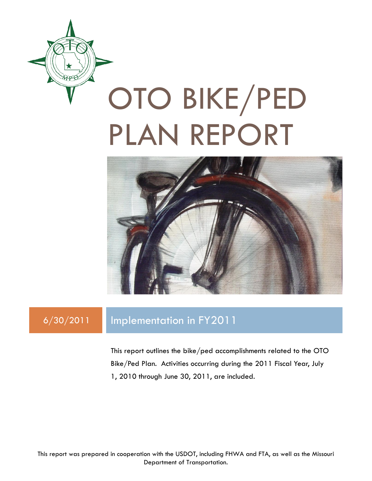

# OTO BIKE/PED PLAN REPORT



### 6/30/2011 Implementation in FY2011

This report outlines the bike/ped accomplishments related to the OTO Bike/Ped Plan. Activities occurring during the 2011 Fiscal Year, July 1, 2010 through June 30, 2011, are included.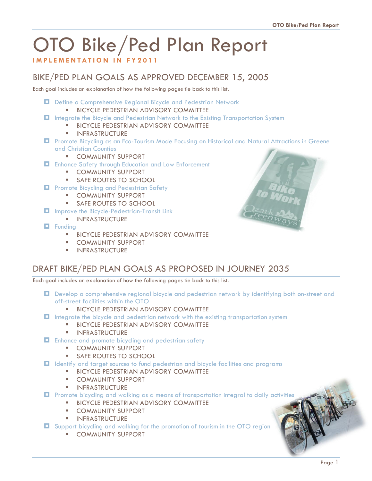## OTO Bike/Ped Plan Report

#### **I M P L E M E N T A T I O N I N F Y 2011**

#### BIKE/PED PLAN GOALS AS APPROVED DECEMBER 15, 2005

Each goal includes an explanation of how the following pages tie back to this list.

- Define a Comprehensive Regional Bicycle and Pedestrian Network **BICYCLE PEDESTRIAN ADVISORY COMMITTEE**
- Integrate the Bicycle and Pedestrian Network to the Existing Transportation System
	- **BICYCLE PEDESTRIAN ADVISORY COMMITTEE**
	- **INFRASTRUCTURE**
- **D** Promote Bicycling as an Eco-Tourism Mode Focusing on Historical and Natural Attractions in Greene and Christian Counties
	- **E** COMMUNITY SUPPORT
- Enhance Safety through Education and Law Enforcement
	- **E** COMMUNITY SUPPORT
	- **SAFE ROUTES TO SCHOOL**
- **Promote Bicycling and Pedestrian Safety** 
	- **E** COMMUNITY SUPPORT
	- **SAFE ROUTES TO SCHOOL**
- **I** Improve the Bicycle-Pedestrian-Transit Link
	- **INFRASTRUCTURE**
- **D** Funding
	- **BICYCLE PEDESTRIAN ADVISORY COMMITTEE**
	- **E** COMMUNITY SUPPORT
	- **INFRASTRUCTURE**



#### DRAFT BIKE/PED PLAN GOALS AS PROPOSED IN JOURNEY 2035

Each goal includes an explanation of how the following pages tie back to this list.

 Develop a comprehensive regional bicycle and pedestrian network by identifying both on-street and off-street facilities within the OTO

#### **BICYCLE PEDESTRIAN ADVISORY COMMITTEE**

- Integrate the bicycle and pedestrian network with the existing transportation system
	- **BICYCLE PEDESTRIAN ADVISORY COMMITTEE**
	- **INFRASTRUCTURE**
- $\Box$  Enhance and promote bicycling and pedestrian safety
	- **E** COMMUNITY SUPPORT
	- **SAFE ROUTES TO SCHOOL**
- Identify and target sources to fund pedestrian and bicycle facilities and programs
	- **BICYCLE PEDESTRIAN ADVISORY COMMITTEE**
	- **E** COMMUNITY SUPPORT
	- **INFRASTRUCTURE**

**D** Promote bicycling and walking as a means of transportation integral to daily activities

- **BICYCLE PEDESTRIAN ADVISORY COMMITTEE**
- **E** COMMUNITY SUPPORT
- **INFRASTRUCTURE**
- Support bicycling and walking for the promotion of tourism in the OTO region
	- **COMMUNITY SUPPORT**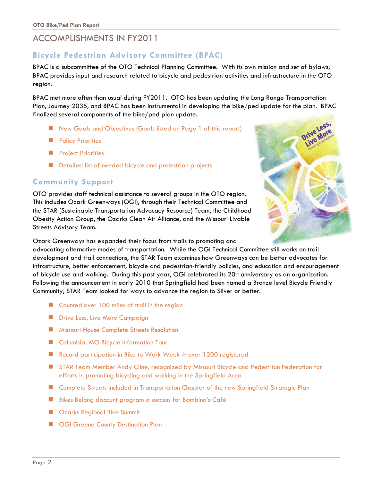#### ACCOMPLISHMENTS IN FY2011

#### **Bicycle Pedestrian Advisory Committee (BPAC)**

BPAC is a subcommittee of the OTO Technical Planning Committee. With its own mission and set of bylaws, BPAC provides input and research related to bicycle and pedestrian activities and infrastructure in the OTO region.

BPAC met more often than usual during FY2011. OTO has been updating the Long Range Transportation Plan, Journey 2035, and BPAC has been instrumental in developing the bike/ped update for the plan. BPAC finalized several components of the bike/ped plan update.

- New Goals and Objectives (Goals listed on Page 1 of this report)
- **Policy Priorities**
- **Project Priorities**
- Detailed list of needed bicycle and pedestrian projects

#### **Community Support**

OTO provides staff technical assistance to several groups in the OTO region. This includes Ozark Greenways (OGI), through their Technical Committee and the STAR (Sustainable Transportation Advocacy Resource) Team, the Childhood Obesity Action Group, the Ozarks Clean Air Alliance, and the Missouri Livable Streets Advisory Team.



Ozark Greenways has expanded their focus from trails to promoting and

advocating alternative modes of transportation. While the OGI Technical Committee still works on trail development and trail connections, the STAR Team examines how Greenways can be better advocates for infrastructure, better enforcement, bicycle and pedestrian-friendly policies, and education and encouragement of bicycle use and walking. During this past year, OGI celebrated its 20<sup>th</sup> anniversary as an organization. Following the announcement in early 2010 that Springfield had been named a Bronze level Bicycle Friendly Community, STAR Team looked for ways to advance the region to Silver or better.

- **E** Counted over 100 miles of trail in the region
- **Drive Less, Live More Campaign**
- **Missouri House Complete Streets Resolution**
- Columbia, MO Bicycle Information Tour
- Record participation in Bike to Work Week > over 1200 registered
- **STAR Team Member Andy Cline, recognized by Missouri Bicycle and Pedestrian Federation for** efforts in promoting bicycling and walking in the Springfield Area
- **E** Complete Streets included in Transportation Chapter of the new Springfield Strategic Plan
- Bikes Belong discount program a success for Bambino's Café
- **E** Ozarks Regional Bike Summit
- **CGI Greene County Destination Plan**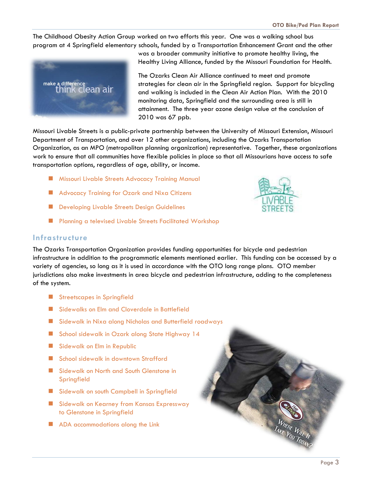The Childhood Obesity Action Group worked on two efforts this year. One was a walking school bus program at 4 Springfield elementary schools, funded by a Transportation Enhancement Grant and the other



was a broader community initiative to promote healthy living, the Healthy Living Alliance, funded by the Missouri Foundation for Health.

The Ozarks Clean Air Alliance continued to meet and promote strategies for clean air in the Springfield region. Support for bicycling and walking is included in the Clean Air Action Plan. With the 2010 monitoring data, Springfield and the surrounding area is still in attainment. The three year ozone design value at the conclusion of 2010 was 67 ppb.

Missouri Livable Streets is a public-private partnership between the University of Missouri Extension, Missouri Department of Transportation, and over 12 other organizations, including the Ozarks Transportation Organization, as an MPO (metropolitan planning organization) representative. Together, these organizations work to ensure that all communities have flexible policies in place so that all Missourians have access to safe transportation options, regardless of age, ability, or income.

- **Missouri Livable Streets Advocacy Training Manual**
- **Advocacy Training for Ozark and Nixa Citizens**
- Developing Livable Streets Design Guidelines
- **Planning a televised Livable Streets Facilitated Workshop**

#### **Infrastructure**

The Ozarks Transportation Organization provides funding opportunities for bicycle and pedestrian infrastructure in addition to the programmatic elements mentioned earlier. This funding can be accessed by a variety of agencies, so long as it is used in accordance with the OTO long range plans. OTO member jurisdictions also make investments in area bicycle and pedestrian infrastructure, adding to the completeness of the system.

- **Streetscapes in Springfield**
- Sidewalks on Elm and Cloverdale in Battlefield
- **Sidewalk in Nixa along Nicholas and Butterfield roadways**
- School sidewalk in Ozark along State Highway 14
- Sidewalk on Elm in Republic
- School sidewalk in downtown Strafford
- Sidewalk on North and South Glenstone in **Springfield**
- Sidewalk on south Campbell in Springfield
- Sidewalk on Kearney from Kansas Expressway to Glenstone in Springfield
- ADA accommodations along the Link